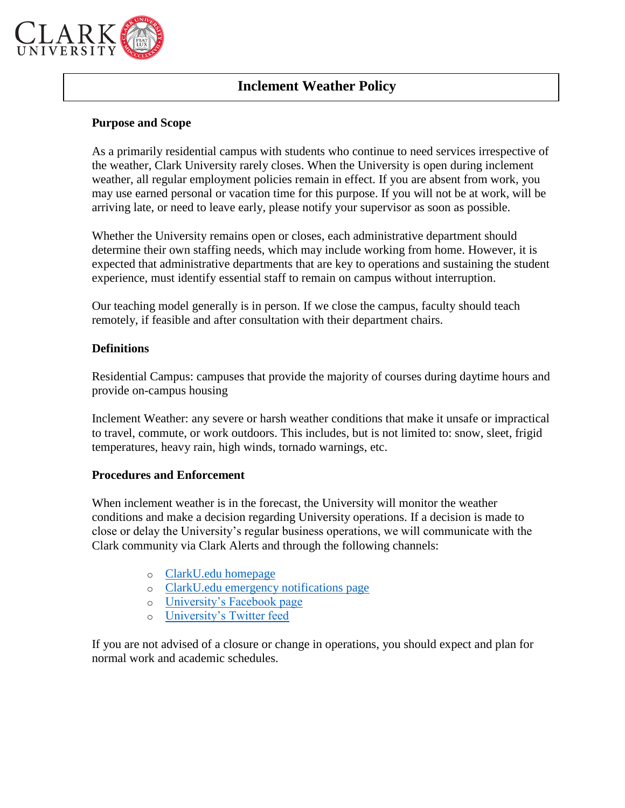

# **Inclement Weather Policy**

### **Purpose and Scope**

As a primarily residential campus with students who continue to need services irrespective of the weather, Clark University rarely closes. When the University is open during inclement weather, all regular employment policies remain in effect. If you are absent from work, you may use earned personal or vacation time for this purpose. If you will not be at work, will be arriving late, or need to leave early, please notify your supervisor as soon as possible.

Whether the University remains open or closes, each administrative department should determine their own staffing needs, which may include working from home. However, it is expected that administrative departments that are key to operations and sustaining the student experience, must identify essential staff to remain on campus without interruption.

Our teaching model generally is in person. If we close the campus, faculty should teach remotely, if feasible and after consultation with their department chairs.

### **Definitions**

Residential Campus: campuses that provide the majority of courses during daytime hours and provide on-campus housing

Inclement Weather: any severe or harsh weather conditions that make it unsafe or impractical to travel, commute, or work outdoors. This includes, but is not limited to: snow, sleet, frigid temperatures, heavy rain, high winds, tornado warnings, etc.

### **Procedures and Enforcement**

When inclement weather is in the forecast, the University will monitor the weather conditions and make a decision regarding University operations. If a decision is made to close or delay the University's regular business operations, we will communicate with the Clark community via Clark Alerts and through the following channels:

- o [ClarkU.edu homepage](https://nam10.safelinks.protection.outlook.com/?url=http%3A%2F%2Fclarku.edu%2F&data=04%7C01%7Cklfisher%40clarku.edu%7C90a53b6ebefe47c8fd5c08d9e19d68ae%7Cb5b2263d68aa453eb972aa1421410f80%7C0%7C0%7C637788888471932894%7CUnknown%7CTWFpbGZsb3d8eyJWIjoiMC4wLjAwMDAiLCJQIjoiV2luMzIiLCJBTiI6Ik1haWwiLCJXVCI6Mn0%3D%7C3000&sdata=gRKQNlkyLCS4OEidsaLBZd1FuvIV4t5Tq6Lm3%2BtjK20%3D&reserved=0)
- o [ClarkU.edu emergency notifications page](https://www.clarku.edu/offices/emergency-management-and-campus-assistance/)
- o [University's Facebook page](https://nam10.safelinks.protection.outlook.com/?url=https%3A%2F%2Fwww.facebook.com%2FClarkUniversityWorcester&data=04%7C01%7Cklfisher%40clarku.edu%7C90a53b6ebefe47c8fd5c08d9e19d68ae%7Cb5b2263d68aa453eb972aa1421410f80%7C0%7C0%7C637788888471932894%7CUnknown%7CTWFpbGZsb3d8eyJWIjoiMC4wLjAwMDAiLCJQIjoiV2luMzIiLCJBTiI6Ik1haWwiLCJXVCI6Mn0%3D%7C3000&sdata=JBFJMOlPro65iNcbbVV18rV8iY7TB0lrbIkmuKa0JlE%3D&reserved=0)
- o [University's Twitter feed](https://nam10.safelinks.protection.outlook.com/?url=https%3A%2F%2Ftwitter.com%2FClarkUniversity&data=04%7C01%7Cklfisher%40clarku.edu%7C90a53b6ebefe47c8fd5c08d9e19d68ae%7Cb5b2263d68aa453eb972aa1421410f80%7C0%7C0%7C637788888471932894%7CUnknown%7CTWFpbGZsb3d8eyJWIjoiMC4wLjAwMDAiLCJQIjoiV2luMzIiLCJBTiI6Ik1haWwiLCJXVCI6Mn0%3D%7C3000&sdata=Vb3Wa361yHwte%2BZAMvjN3012eiOL13Jxw3PU02KabCY%3D&reserved=0)

If you are not advised of a closure or change in operations, you should expect and plan for normal work and academic schedules.